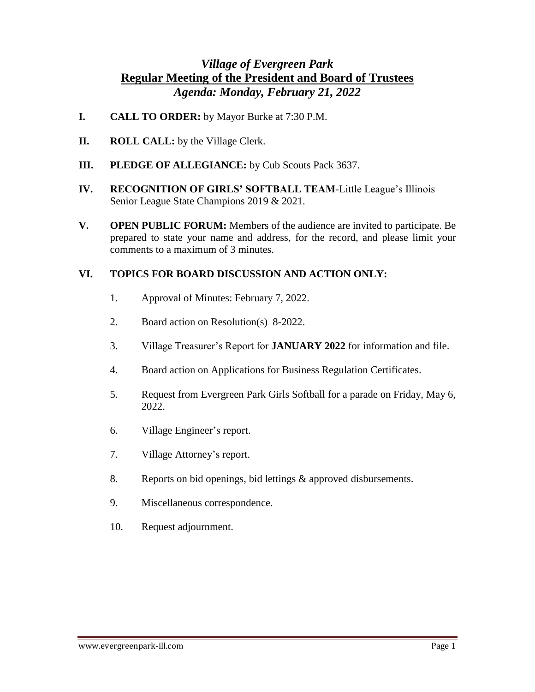## *Village of Evergreen Park*  **Regular Meeting of the President and Board of Trustees** *Agenda: Monday, February 21, 2022*

- **I. CALL TO ORDER:** by Mayor Burke at 7:30 P.M.
- **II. ROLL CALL:** by the Village Clerk.
- **III. PLEDGE OF ALLEGIANCE:** by Cub Scouts Pack 3637.
- **IV. RECOGNITION OF GIRLS' SOFTBALL TEAM**-Little League's Illinois Senior League State Champions 2019 & 2021.
- **V. OPEN PUBLIC FORUM:** Members of the audience are invited to participate. Be prepared to state your name and address, for the record, and please limit your comments to a maximum of 3 minutes.

## **VI. TOPICS FOR BOARD DISCUSSION AND ACTION ONLY:**

- 1. Approval of Minutes: February 7, 2022.
- 2. Board action on Resolution(s) 8-2022.
- 3. Village Treasurer's Report for **JANUARY 2022** for information and file.
- 4. Board action on Applications for Business Regulation Certificates.
- 5. Request from Evergreen Park Girls Softball for a parade on Friday, May 6, 2022.
- 6. Village Engineer's report.
- 7. Village Attorney's report.
- 8. Reports on bid openings, bid lettings & approved disbursements.
- 9. Miscellaneous correspondence.
- 10. Request adjournment.